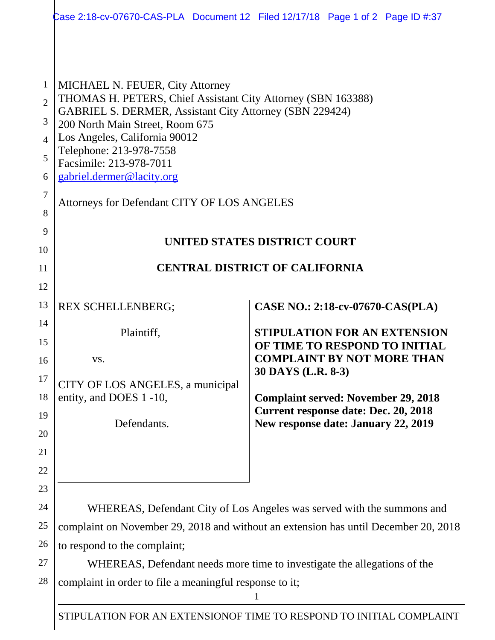|                                                                                                                                                                                                                                                                                                                                                                                | Case 2:18-cv-07670-CAS-PLA Document 12 Filed 12/17/18 Page 1 of 2 Page ID #:37                                                   |  |  |
|--------------------------------------------------------------------------------------------------------------------------------------------------------------------------------------------------------------------------------------------------------------------------------------------------------------------------------------------------------------------------------|----------------------------------------------------------------------------------------------------------------------------------|--|--|
| <b>MICHAEL N. FEUER, City Attorney</b><br>THOMAS H. PETERS, Chief Assistant City Attorney (SBN 163388)<br><b>GABRIEL S. DERMER, Assistant City Attorney (SBN 229424)</b><br>200 North Main Street, Room 675<br>Los Angeles, California 90012<br>Telephone: 213-978-7558<br>Facsimile: 213-978-7011<br>gabriel.dermer@lacity.org<br>Attorneys for Defendant CITY OF LOS ANGELES |                                                                                                                                  |  |  |
| UNITED STATES DISTRICT COURT<br><b>CENTRAL DISTRICT OF CALIFORNIA</b>                                                                                                                                                                                                                                                                                                          |                                                                                                                                  |  |  |
|                                                                                                                                                                                                                                                                                                                                                                                |                                                                                                                                  |  |  |
| <b>REX SCHELLENBERG;</b>                                                                                                                                                                                                                                                                                                                                                       | CASE NO.: 2:18-cv-07670-CAS(PLA)                                                                                                 |  |  |
| Plaintiff,<br>VS.<br>CITY OF LOS ANGELES, a municipal<br>entity, and DOES 1 -10,<br>Defendants.                                                                                                                                                                                                                                                                                | <b>STIPULATION FOR AN EXTENSION</b><br>OF TIME TO RESPOND TO INITIAL<br><b>COMPLAINT BY NOT MORE THAN</b><br>30 DAYS (L.R. 8-3)  |  |  |
|                                                                                                                                                                                                                                                                                                                                                                                | <b>Complaint served: November 29, 2018</b><br><b>Current response date: Dec. 20, 2018</b><br>New response date: January 22, 2019 |  |  |
|                                                                                                                                                                                                                                                                                                                                                                                |                                                                                                                                  |  |  |
| WHEREAS, Defendant City of Los Angeles was served with the summons and<br>complaint on November 29, 2018 and without an extension has until December 20, 2018<br>to respond to the complaint;<br>WHEREAS, Defendant needs more time to investigate the allegations of the                                                                                                      |                                                                                                                                  |  |  |
|                                                                                                                                                                                                                                                                                                                                                                                |                                                                                                                                  |  |  |